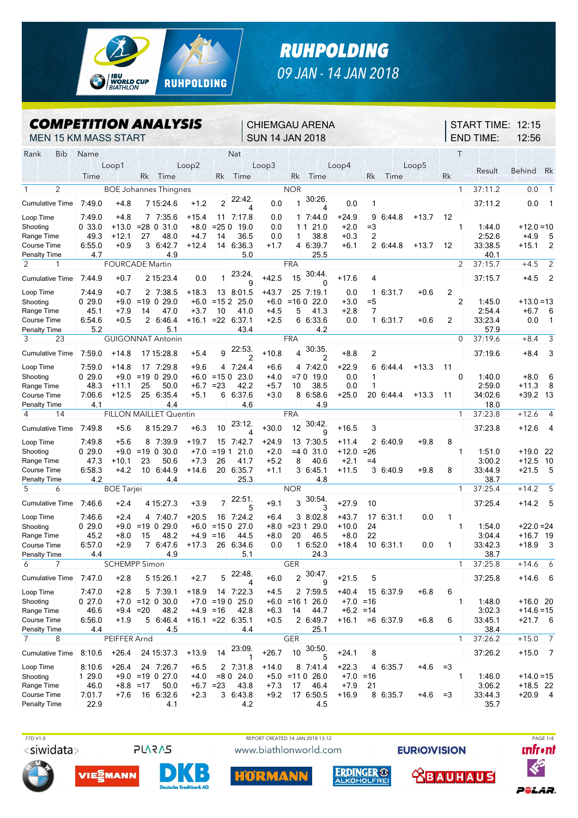

## *RUHPOLDING 09 JAN - 14 JAN 2018*

CHIEMGAU ARENA

## *COMPETITION ANALYSIS*

MEN 15 KM MASS START SUN 14 JAN 2018 Rank Bib Name Nat Nat Nat T Loop1 Loop2 Loop3 Loop4 Loop5 Time Rk Time Rk Time Rk Time Rk Time Rk 1 2 BOE Johannes Thingnes NOR NOR 1 37:11.2 0.0 1 Cumulative Time 7:49.0 +4.8 7 15:24.6 +1.2 2 22:42. 4  $0.0 1$ 30:26. 4 0.0 1 37:11.2 0.0 1 Loop Time 7:49.0 +4.8 7 7:35.6 +15.4 11 7:17.8 0.0 1 7:44.0 +24.9 9 6:44.8 +13.7 12 Shooting **0** 33.0 +13.0 =28 **0** 31.0 +8.0 =25 0 19.0 0.0 1 1 21.0 +2.0 =3 1 1:44.0 +12.0 =10 Range Time 49.3 +12.1 27 48.0 +4.7 14 36.5 0.0 1 38.8 +0.3 2 2:52.6 +4.9 5 Course Time 6:55.0 +0.9 3 6:42.7 +12.4 14 6:36.3 +1.7 4 6:39.7 +6.1 2 6:44.8 +13.7 12 33:38.5 +15.1 2 Penalty Time 4.7 4.9 5.0 25.5 40.1 2 1 FOURCADE Martin FRA 2 37:15.7 +4.5 2 Cumulative Time 7:44.9 +0.7 2 15:23.4 0.0 1 23:24. 9 +42.5 15 30:44.  $\Omega$ +17.6 4 37:15.7 +4.5 2 Loop Time 7:44.9 +0.7 2 7:38.5 +18.3 13 8:01.5 +43.7 25 7:19.1 0.0 1 6:31.7 +0.6 2 Shooting 0 29.0 +9.0 =19 0 29.0 +6.0 =15 2 25.0 +6.0 =16 0 22.0 +3.0 =5 2 1:45.0 +13.0 =13 Range Time 45.1 +7.9 14 47.0 +3.7 10 41.0 +4.5 5 41.3 +2.8 7 2:54.4 +6.7 6 Course Time 6:54.6 +0.5 2 6:46.4 +16.1 =22 6:37.1 +2.5 6 6:33.6 0.0 1 6:31.7 +0.6 2 33:23.4 0.0 1 Penalty Time 5.2 5.1 43.4 4.2 57.9 3 23 GUIGONNAT Antonin FRA 0 37:19.6 +8.4 3 Cumulative Time 7:59.0 +14.8 17 15:28.8 +5.4 9 22:53. 2 +10.8 4 30:35.  $\begin{array}{c} 4 \ 4 \ 3 \ 4 \ \end{array}$ +8.8 2 37:19.6 +8.4 3 Loop Time 7:59.0 +14.8 17 7:29.8 +9.6 4 7:24.4 +6.6 4 7:42.0 +22.9 6 6:44.4 +13.3 11

| טוווו שטט                        |        |                      |                 |                        |         |                |                     |         |                |                        |             |              |         |      |         |            |                |
|----------------------------------|--------|----------------------|-----------------|------------------------|---------|----------------|---------------------|---------|----------------|------------------------|-------------|--------------|---------|------|---------|------------|----------------|
| Shooting                         | 0.29.0 | $+9.0$               |                 | $= 19$ 0 29.0          | $+6.0$  | $=150$         | 23.0                | $+4.0$  | $=70$          | 19.0                   | 0.0         |              |         | 0    | 1:40.0  | $+8.0$     | 6              |
| Range Time                       | 48.3   | $+11.1$              | 25              | 50.0                   | $+6.7$  | $= 23$         | 42.2                | $+5.7$  | 10             | 38.5                   | 0.0         |              |         |      | 2:59.0  | $+11.3$    | - 8            |
| Course Time                      | 7:06.6 | $+12.5$              | 25              | 6:35.4                 | $+5.1$  | 6              | 6:37.6              | $+3.0$  |                | 8 6:58.6               | $+25.0$     | 20 6:44.4    | $+13.3$ | 11   | 34:02.6 | $+39.2$ 13 |                |
| Penalty Time                     | 4.1    |                      |                 | 4.4                    |         |                | 4.6                 |         |                | 4.9                    |             |              |         |      | 18.0    |            |                |
| 4<br>14                          |        |                      |                 | FILLON MAILLET Quentin |         |                |                     |         | <b>FRA</b>     |                        |             |              |         | 1    | 37:23.8 | $+12.6$    | 4              |
| <b>Cumulative Time</b>           | 7.49.8 | $+5.6$               |                 | 8 15:29.7              | $+6.3$  | 10             | 23:12.<br>Δ         | $+30.0$ | 12             | 30:42.<br>$\mathbf{Q}$ | $+16.5$     | 3            |         |      | 37:23.8 | $+12.6$ 4  |                |
| Loop Time                        | 7:49.8 | $+5.6$               |                 | 8 7:39.9               | $+19.7$ |                | 15 7:42.7           | $+24.9$ |                | 13 7:30.5              | $+11.4$     | 26:40.9      | $+9.8$  | 8    |         |            |                |
| Shooting                         | 0.29.0 | $+9.0$               | $=19$           | 0,30.0                 | $+7.0$  | $= 191$        | 21.0                | $+2.0$  | $= 40$         | 31.0                   | $+12.0$     | $= 26$       |         |      | 1:51.0  | $+19.0$ 22 |                |
| Range Time                       | 47.3   | $+10.1$              | 23              | 50.6                   | $+7.3$  | 26             | 41.7                | $+5.2$  | 8              | 40.6                   | $+2.1$      | $=4$         |         |      | 3:00.2  | $+12.5$ 10 |                |
| Course Time                      | 6:58.3 | $+4.2$               | 10 <sup>°</sup> | 6:44.9                 | $+14.6$ | 20             | 6:35.7              | $+1.1$  |                | 3 6:45.1               | $+11.5$     | 3 6:40.9     | $+9.8$  | 8    | 33:44.9 | $+21.5$ 5  |                |
| Penalty Time                     | 4.2    |                      |                 | 4.4                    |         |                | 25.3                |         |                | 4.8                    |             |              |         |      | 38.7    |            |                |
| 5<br>6                           |        | <b>BOE</b> Tarjei    |                 |                        |         |                |                     |         | <b>NOR</b>     |                        |             |              |         | 1    | 37:25.4 | $+14.2$    | 5              |
| <b>Cumulative Time</b>           | 7:46.6 | $+2.4$               |                 | 4 15:27.3              | $+3.9$  | $\overline{7}$ | 22.51.<br>5         | $+9.1$  | $\mathbf{3}$   | 30.54.<br>3            | $+27.9$     | 10           |         |      | 37:25.4 | $+14.2$ 5  |                |
| Loop Time                        | 7:46.6 | $+2.4$               |                 | 4 740.7                | $+20.5$ | 16             | 7:24.2              | $+6.4$  |                | 38:02.8                | $+43.7$     | 17<br>6:31.1 | 0.0     | 1    |         |            |                |
| Shooting                         | 0.29.0 | $+9.0$               |                 | $= 19$ 0 29.0          | $+6.0$  | $=150$         | 27.0                | $+8.0$  | $= 231$        | 29.0                   | $+10.0$     | 24           |         |      | 1:54.0  | $+22.0=24$ |                |
| Range Time                       | 45.2   | $+8.0$               | 15              | 48.2                   | $+4.9$  | $=16$          | 44.5                | $+8.0$  | 20             | 46.5                   | $+8.0$      | 22           |         |      | 3:04.4  | $+16.7$ 19 |                |
| <b>Course Time</b>               | 6:57.0 | $+2.9$               |                 | 6:47.6                 | $+17.3$ | 26             | 6:34.6              | 0.0     |                | 16:52.0                | $+18.4$     | 10 6:31.1    | 0.0     | 1    | 33:42.3 | $+18.9$ 3  |                |
| Penalty Time                     | 4.4    |                      |                 | 4.9                    |         |                | 5.1                 |         |                | 24.3                   |             |              |         |      | 38.7    |            |                |
| $\overline{7}$<br>$\overline{a}$ |        | <b>SCHEMPP Simon</b> |                 |                        |         |                |                     |         | <b>GER</b>     |                        |             |              |         | 1    | 37:25.8 | $+14.6$    | 6              |
| <b>Cumulative Time</b>           | 7:47.0 | $+2.8$               |                 | 5 15:26.1              | $+2.7$  | 5              | 22:48.<br>4         | $+6.0$  | $\overline{2}$ | 30:47<br>9             | $+21.5$     | 5            |         |      | 37:25.8 | $+14.6$    | - 6            |
| Loop Time                        | 7:47.0 | $+2.8$               |                 | 5 7:39.1               | $+18.9$ |                | 14 7:22.3           | $+4.5$  |                | 2 7:59.5               | $+40.4$     | 15 6:37.9    | $+6.8$  | 6    |         |            |                |
| Shooting                         | 027.0  | $+7.0$               |                 | $= 12 \times 30.0$     | $+7.0$  | $= 190$        | 25.0                | $+6.0$  | $= 161$        | 26.0                   | $+7.0$      | $=16$        |         |      | 1.48.0  | $+16.0$ 20 |                |
| Range Time                       | 46.6   | $+9.4$               | $=20$           | 48.2                   | $+4.9$  | $=16$          | 42.8                | $+6.3$  | 14             | 44.7                   | $+6.2 = 14$ |              |         |      | 3:02.3  | $+14.6=15$ |                |
| Course Time                      | 6:56.0 | $+1.9$               | 5               | 6:46.4                 | $+16.1$ |                | $= 22 \quad 6:35.1$ | $+0.5$  |                | 2 6:49.7               | $+16.1$     | $=6$ 6:37.9  | $+6.8$  | 6    | 33:45.1 | $+21.7$ 6  |                |
| Penalty Time                     | 4.4    |                      |                 | 4.5                    |         |                | 4.4                 |         |                | 25.1                   |             |              |         |      | 38.4    |            |                |
| $\overline{7}$<br>8              |        | PEIFFER Arnd         |                 |                        |         |                |                     |         | <b>GER</b>     |                        |             |              |         | 1    | 37:26.2 | $+15.0$    | $\overline{7}$ |
| <b>Cumulative Time</b>           | 8:10.6 | $+26.4$              |                 | 24 15:37.3             | $+13.9$ | 14             | 23:09.              | $+26.7$ | 10             | 30:50.<br>5            | $+24.1$     | 8            |         |      | 37:26.2 | $+15.0$ 7  |                |
| Loop Time                        | 8:10.6 | $+26.4$              |                 | 24 7:26.7              | $+6.5$  |                | 2 7:31.8            | $+14.0$ | 8              | 7.41.4                 | $+22.3$     | 6:35.7<br>4  | $+4.6$  | $=3$ |         |            |                |
| Shooting                         | 1 29.0 | $+9.0$               |                 | $= 19$ 0 27.0          | $+4.0$  | $= 80$         | 24.0                | $+5.0$  | $=110$         | 26.0                   | $+7.0$      | $=16$        |         |      | 1:46.0  | $+14.0=15$ |                |
| Range Time                       | 46.0   | $+8.8$               | $=17$           | 50.0                   | $+6.7$  | $= 23$         | 43.8                | $+7.3$  | 17             | 46.4                   | $+7.9$      | 21           |         |      | 3:06.2  | $+18.5$ 22 |                |
| Course Time                      | 7:01.7 | $+7.6$               | 16              | 6:32.6                 | $+2.3$  | 3              | 6:43.8              | $+9.2$  |                | 17 6:50.5              | $+16.9$     | 8<br>6:35.7  | $+4.6$  | $=3$ | 33:44.3 | $+20.9$ 4  |                |
| Penalty Time                     | 22.9   |                      |                 | 4.1                    |         |                | 4.2                 |         |                | 4.5                    |             |              |         |      | 35.7    |            |                |







IORM





START TIME: 12:15

12:56

Result Behind Rk

END TIME:



POLAR.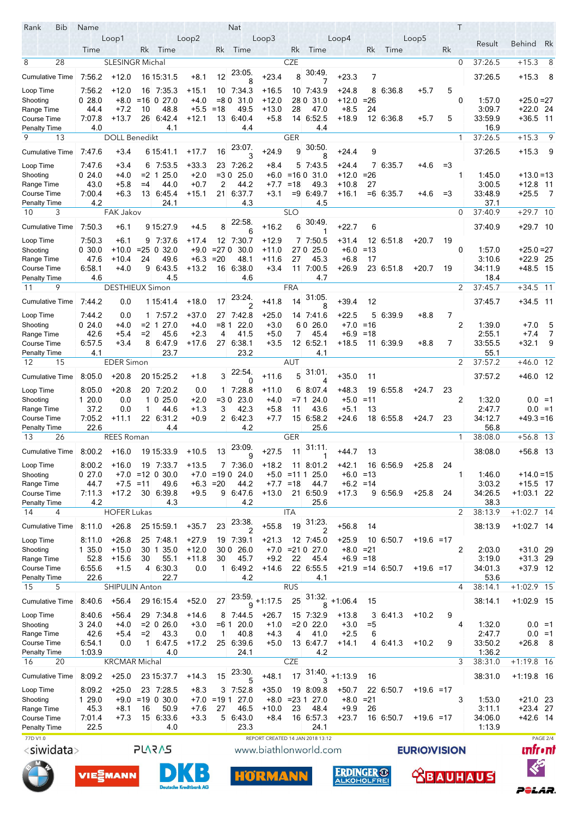| Rank<br><b>Bib</b>                 | Name                          |                        |                |                            |                   |                  | <b>Nat</b>          |                                  |             |                        |                    |              |                     |                    |      | Τ              |                   |                          |                 |  |
|------------------------------------|-------------------------------|------------------------|----------------|----------------------------|-------------------|------------------|---------------------|----------------------------------|-------------|------------------------|--------------------|--------------|---------------------|--------------------|------|----------------|-------------------|--------------------------|-----------------|--|
|                                    |                               | Loop1                  |                |                            | Loop2             |                  |                     | Loop3                            |             |                        | Loop4              |              |                     | Loop5              |      |                | Result            | Behind Rk                |                 |  |
|                                    | Time                          |                        | Rk.            | Time                       |                   | Rk               | Time                |                                  | Rk          | Time                   |                    | Rk           | Time                |                    | Rk   |                |                   |                          |                 |  |
| 28<br>8                            |                               | <b>SLESINGR Michal</b> |                |                            |                   |                  |                     |                                  | <b>CZE</b>  |                        |                    |              |                     |                    |      | $\mathbf 0$    | 37:26.5           | $+15.3$                  | 8               |  |
| <b>Cumulative Time</b>             | 7.56.2                        | $+12.0$                |                | 16 15:31 5                 | $+8.1$            | 12               | 23:05.              | $+23.4$                          | 8           | 30.49.                 | $+23.3$            | 7            |                     |                    |      |                | 37:26.5           | $+15.3$                  | - 8             |  |
|                                    |                               |                        |                |                            |                   |                  | 8                   |                                  |             |                        |                    |              |                     |                    |      |                |                   |                          |                 |  |
| Loop Time<br>Shooting              | 7.56.2<br>028.0               | $+12.0$<br>$+8.0$      |                | 16 7:35.3<br>$=$ 16 0 27.0 | $+15.1$<br>$+4.0$ | $= 80$           | 10 7:34.3<br>31.0   | $+16.5$<br>$+12.0$               |             | 10 7 43 9<br>28 0 31 0 | +24.8<br>$+12.0$   | $= 26$       | 8 6:36.8            | $+5.7$             | 5    | $\Omega$       | 1:57.0            | $+25.0=27$               |                 |  |
| Range Time                         | 44.4                          | $+7.2$                 | 10             | 48.8                       | $+5.5$            | $=18$            | 49.5                | +13.0                            | 28          | 47.0                   | $+8.5$             | 24           |                     |                    |      |                | 3:09.7            | $+22.0$ 24               |                 |  |
| Course Time                        | 7:07.8                        | $+13.7$                |                | 26 6:42.4                  | $+12.1$           |                  | 13 6:40.4           | $+5.8$                           |             | 14 6:52.5              | $+18.9$            |              | 12 6:36.8           | $+5.7$             | 5    |                | 33:59.9           | $+36.5$ 11               |                 |  |
| <b>Penalty Time</b>                | 4.0                           |                        |                | 4.1                        |                   |                  | 4.4                 |                                  |             | 4.4                    |                    |              |                     |                    |      |                | 16.9              |                          |                 |  |
| 9<br>13                            |                               | <b>DOLL Benedikt</b>   |                |                            |                   |                  |                     |                                  | <b>GER</b>  |                        |                    |              |                     |                    |      | 1              | 37:26.5           | $+15.3$                  | 9               |  |
| <b>Cumulative Time</b>             | 7.47.6                        | $+3.4$                 |                | 6 15:41.1                  | $+17.7$           | 16               | 23:07.              | $+24.9$                          | 9           | 30:50                  | $+24.4$            | 9            |                     |                    |      |                | 37:26.5           | $+15.3$                  | - 9             |  |
|                                    |                               |                        |                |                            |                   |                  | 3                   |                                  |             | 8                      |                    |              |                     |                    |      |                |                   |                          |                 |  |
| Loop Time                          | 747.6                         | $+3.4$                 | 6<br>$= 2 \ 1$ | 7:53.5                     | $+33.3$<br>$+2.0$ | $=30$            | 23 7:26.2<br>25.0   | $+8.4$                           | $= 160$     | 57435                  | $+24.4$            |              | 7 6:35.7            | $+4.6$             | $=3$ | 1              |                   |                          |                 |  |
| Shooting<br>Range Time             | 024.0<br>43.0                 | $+4.0$<br>+5.8         | $=4$           | 25.0<br>44.0               | $+0.7$            | $\overline{2}$   | 44.2                | $+6.0$<br>$+7.7$                 | $=18$       | 31.0<br>49.3           | $+12.0$<br>$+10.8$ | $= 26$<br>27 |                     |                    |      |                | 1:45.0<br>3:00.5  | $+13.0=13$<br>+12.8 11   |                 |  |
| <b>Course Time</b>                 | 7 00.4                        | $+6.3$                 |                | 13 6:45.4                  | $+15.1$           | 21               | 6:37.7              | $+3.1$                           |             | $= 9 \ 6.49.7$         | +16.1              |              | $=6$ 6:35.7         | $+4.6$             | $=3$ |                | 33:48.9           | $+25.5$                  | 7               |  |
| <b>Penalty Time</b>                | 4.2                           |                        |                | 24.1                       |                   |                  | 4.3                 |                                  |             | 4.5                    |                    |              |                     |                    |      |                | 37.1              |                          |                 |  |
| 3<br>10                            |                               | FAK Jakov              |                |                            |                   |                  |                     |                                  | <b>SLO</b>  |                        |                    |              |                     |                    |      | $\Omega$       | 37:40.9           | $+29.7$ 10               |                 |  |
| <b>Cumulative Time</b>             | 7:50.3                        | $+6.1$                 |                | 9 15:27.9                  | +4.5              | 8                | 22:58               | $+16.2$                          | 6           | 30.49                  | $+22.7$            | 6            |                     |                    |      |                | 37:40.9           | $+29.7$ 10               |                 |  |
|                                    |                               |                        |                |                            |                   |                  | 6                   |                                  |             |                        |                    |              |                     |                    |      |                |                   |                          |                 |  |
| Loop Time                          | 7:50.3                        | $+6.1$                 |                | 9 7 37 6                   | $+17.4$           |                  | 12 7:30.7           | $+12.9$                          |             | 7 7:50.5               | $+31.4$            |              | 12 6:51.8           | $+20.7$            | 19   |                |                   |                          |                 |  |
| Shooting<br>Range Time             | 0,30.0<br>47.6                | $+10.0$<br>$+10.4$     | 24             | $= 25 \ 0 \ 32.0$<br>49.6  | $+9.0$<br>$+6.3$  | $= 270$<br>$=20$ | 30.0<br>48.1        | $+11.0$<br>+11.6                 | 27.0<br>27  | 25.0<br>45.3           | $+6.0$<br>$+6.8$   | $=13$<br>17  |                     |                    |      | $\Omega$       | 1:57.0<br>3:10.6  | $+25.0=27$<br>$+22.9$ 25 |                 |  |
| Course Time                        | 6:58.1                        | $+4.0$                 | 9              | 6:43.5                     | $+13.2$           |                  | 16 6:38.0           | $+3.4$                           |             | 11 7:00.5              | $+26.9$            |              | 23 6:51.8           | $+20.7$            | 19   |                | 34:11.9           | +48.5 15                 |                 |  |
| <b>Penalty Time</b>                | 4.6                           |                        |                | 4.5                        |                   |                  | 4.6                 |                                  |             | 4.7                    |                    |              |                     |                    |      |                | 18.4              |                          |                 |  |
| 9<br>11                            |                               | <b>DESTHIEUX Simon</b> |                |                            |                   |                  |                     |                                  | <b>FRA</b>  |                        |                    |              |                     |                    |      | $\overline{2}$ | 37:45.7           | $+34.5$ 11               |                 |  |
| <b>Cumulative Time</b>             | 7.44.2                        | 0.0                    |                | 1 15:41.4                  | $+18.0$           | 17               | 23:24.              | $+41.8$                          | 14          | 31:05.                 | $+39.4$            | 12           |                     |                    |      |                | 37:45.7           | $+34.5$                  | - 11            |  |
|                                    |                               |                        |                |                            |                   |                  | 2                   |                                  |             | 8                      |                    |              |                     |                    |      |                |                   |                          |                 |  |
| Loop Time                          | 7:44.2                        | 0.0                    |                | 1 7:57.2                   | $+37.0$           |                  | 27 7:42.8           | $+25.0$                          |             | 14 7 41 6              | $+22.5$            |              | 5 6 3 9 9           | $+8.8$             | 7    |                |                   |                          |                 |  |
| Shooting                           | 024.0                         | $+4.0$                 | $= 2 \; 1$     | 27.0                       | $+4.0$            | $= 81$           | 22.0                | $+3.0$                           |             | 60 26.0                | $+7.0$             | =16          |                     |                    |      | 2              | 1:39.0            | $+7.0$                   | 5<br>7          |  |
| Range Time<br>Course Time          | 42.6<br>6.57.5                | $+5.4$<br>$+3.4$       | $=2$<br>8      | 45.6<br>6:47.9             | $+2.3$<br>$+17.6$ | 4                | 41.5<br>27 6:38.1   | $+5.0$<br>$+3.5$                 | 7           | 45.4<br>12 6:52.1      | +6.9<br>+18.5      | =18          | 11 6:39 9           | $+8.8$             | 7    |                | 2:55.1<br>33:55.5 | $+7.4$<br>+32.1          | 9               |  |
| <b>Penalty Time</b>                | 4.1                           |                        |                | 23.7                       |                   |                  | 23.2                |                                  |             | 4.1                    |                    |              |                     |                    |      |                | 55.1              |                          |                 |  |
| 15<br>12                           |                               | <b>EDER Simon</b>      |                |                            |                   |                  |                     |                                  | AUT         |                        |                    |              |                     |                    |      | 2              | 37:57.2           | $+46.0$ 12               |                 |  |
|                                    | 8:05.0                        | $+20.8$                |                | 20 15:25.2                 |                   | 3                | 22:54.              | +11.6                            | 5           | 31:01.                 | $+35.0$            |              |                     |                    |      |                | 37:57.2           | $+46.0$ 12               |                 |  |
| <b>Cumulative Time</b>             |                               |                        |                |                            | +1.8              |                  | 0                   |                                  |             | 4                      |                    | 11           |                     |                    |      |                |                   |                          |                 |  |
| Loop Time                          | 8:05.0                        | $+20.8$                |                | 20 7:20.2                  | 0.0               | 1.               | 7.28.8              | +11.0                            |             | 6 8:07.4               | $+48.3$            |              | 19 6:55.8           | $+24.7$            | 23   |                |                   |                          |                 |  |
| Shooting                           | 120.0                         | 0.0                    |                | $1 \ 0 \ 25.0$             | $+2.0$            | $= 30$           | 23.0                | $+4.0$                           | $= 71$      | 24.0                   | $+5.0$             | $=11$        |                     |                    |      | 2              | 1:32.0            |                          | $0.0 = 1$       |  |
| Range Time<br><b>Course Time</b>   | 37.2<br>7.05.2                | 0.0<br>$+11.1$         | 1              | 44.6<br>22 6:31.2          | $+1.3$<br>$+0.9$  | 3                | 42.3<br>2 6:42.3    | $+5.8$<br>$+7.7$                 | 11          | 43.6<br>15 6:58.2      | $+5.1$<br>+24.6    | 13           | 18 6:55.8           | $+24.7$            | 23   |                | 2:47.7<br>34.12.7 | $+49.3=16$               | $0.0 = 1$       |  |
| <b>Penalty Time</b>                | 22.6                          |                        |                | 4.4                        |                   |                  | 4.2                 |                                  |             | 25.6                   |                    |              |                     |                    |      |                | 56.8              |                          |                 |  |
| 13<br>26                           |                               | <b>REES Roman</b>      |                |                            |                   |                  |                     |                                  | GER         |                        |                    |              |                     |                    |      | 1              | 38:08.0           | $+56.8$ 13               |                 |  |
|                                    |                               |                        |                |                            |                   |                  | 23:09.              | $+27.5$                          | 11          | 31:11.                 |                    |              |                     |                    |      |                |                   |                          |                 |  |
| Cumulative Time 8:00.2             |                               | +16.0                  |                | 19 15:33.9                 | $+10.5$           | 13               | 9                   |                                  |             | 1                      | $+44.7$            | 13           |                     |                    |      |                | 38:08.0           | $+56.8$ 13               |                 |  |
| Loop Time                          | 8:00.2                        | $+16.0$                |                | 19 7:33 7                  | +13.5             |                  | 7 7:36.0            | +18.2                            |             | 11 8:01.2              | +42.1              |              | 16 6.56.9           | $+25.8$            | 24   |                |                   |                          |                 |  |
| Shooting                           | 027.0                         | +7.0                   |                | $=12$ 0 30.0               | +7.0              | $=190$           | 24.0                | +5.0                             | $= 1111$    | 25.0                   | +6.0               | =13          |                     |                    |      | 1              | 1.46.0            | +14.0 =15                |                 |  |
| Range Time                         | 44.7                          | $+7.5 = 11$            |                | 49.6                       | +6.3              | $=20$            | 44.2                | $+13.0$                          | $+7.7 = 18$ | 44.7                   | $+6.2 = 14$        |              |                     |                    |      |                | 3:03.2<br>34:26.5 | $+15.5$ 17               |                 |  |
| Course Time<br><b>Penalty Time</b> | 7.11.3<br>4.2                 | $+17.2$                |                | 30 6:39 8<br>4.3           | $+9.5$            |                  | 9 6:47.6<br>4.2     |                                  |             | 21 6:50.9<br>25.6      | +17.3              |              | 9 6:56.9            | $+25.8$            | 24   |                | 38.3              | +1:03.1 22               |                 |  |
| 14<br>4                            |                               | <b>HOFER Lukas</b>     |                |                            |                   |                  |                     |                                  | <b>ITA</b>  |                        |                    |              |                     |                    |      | $\overline{2}$ | 38:13.9           | $+1:02.7$ 14             |                 |  |
|                                    |                               |                        |                |                            |                   |                  | 23:38.              |                                  |             | 31:23                  |                    |              |                     |                    |      |                |                   |                          |                 |  |
| <b>Cumulative Time</b>             | 8:11.0                        | $+26.8$                |                | 25 15:59.1                 | $+35.7$           | 23               |                     | $+55.8$                          | 19          |                        | $+56.8$            | 14           |                     |                    |      |                | 38.13.9           | +1:02.7 14               |                 |  |
| Loop Time                          | 8:11.0                        | $+26.8$                |                | 25 7:48.1                  | $+27.9$           |                  | 19 7:39.1           | $+21.3$                          |             | 12 7:45.0              | $+25.9$            |              | 10 6:50.7           | +19.6 =17          |      |                |                   |                          |                 |  |
| Shooting                           | 1 35.0                        | $+15.0$                |                | 30 1 35.0                  | $+12.0$           |                  | 30 0 26.0           |                                  |             | $+7.0 = 21027.0$       | $+8.0 = 21$        |              |                     |                    |      | 2              | 2:03.0            | +31.0 29                 |                 |  |
| Range Time                         | 52.8                          | $+15.6$                | 30             | 55.1                       | $+11.8$           | 30               | 45.7                | $+9.2$                           | 22          | 45.4                   | $+6.9 = 18$        |              |                     |                    |      |                | 3.19.0            | $+31.3$ 29               |                 |  |
| Course Time<br><b>Penalty Time</b> | 6.55.6<br>22.6                | $+1.5$                 |                | $4 \ 6.30.3$<br>22.7       | 0.0               |                  | $1 \t6.49.2$<br>4.2 | +14.6                            |             | 22 6:55.5<br>4.1       |                    |              | $+21.9$ = 14 6:50.7 | $+19.6 = 17$       |      |                | 34:01.3<br>53.6   | $+37.9$ 12               |                 |  |
| 15<br>5                            |                               | SHIPULIN Anton         |                |                            |                   |                  |                     |                                  | <b>RUS</b>  |                        |                    |              |                     |                    |      | 4              | 38:14.1           | $+1:02.9$ 15             |                 |  |
|                                    |                               |                        |                |                            |                   |                  | 23:59.              |                                  |             | 31:32.                 |                    |              |                     |                    |      |                |                   |                          |                 |  |
| <b>Cumulative Time</b>             | 8.40.6                        | $+56.4$                |                | 29 16:15.4                 | $+52.0$           | 27               | 9                   | $+1.17.5$                        | 25          | 8                      | $+1.06.4$          | 15           |                     |                    |      |                | 38.14.1           | $+1.02.9$ 15             |                 |  |
| Loop Time                          | 8.40.6                        | $+56.4$                |                | 29 7:34.8                  | $+14.6$           |                  | 8 7:44.5            | $+26.7$                          |             | 15 7:32.9              | $+13.8$            |              | 3 6:41.3            | $+10.2$            | 9    |                |                   |                          |                 |  |
| Shooting                           | 3 24.0                        | $+4.0$                 |                | $= 2 \ 0 \ 26.0$           | $+3.0$            | =6.1             | 20.0                | $+1.0$                           |             | $= 202.0$              | $+3.0$             | $= 5$        |                     |                    |      | 4              | 1:32.0            |                          | $0.0 = 1$       |  |
| Range Time                         | 42.6                          | $+5.4$                 | $=2$           | 43.3                       | 0.0               | $\mathbf{1}$     | 40.8                | $+4.3$                           | 4           | 41.0                   | $+2.5$             | 6            |                     |                    |      |                | 2:47.7            |                          | $0.0 = 1$       |  |
| <b>Course Time</b>                 | 6:54.1                        | 0.0                    |                | 1 6:47.5                   | $+17.2$           |                  | 25 6:39.6           | $+5.0$                           |             | 13 6.47.7              | +14.1              |              | 4 6:41.3            | $+10.2$            | 9    |                | 33.50.2           | +26.8                    | - 8             |  |
| Penalty Time<br>20<br>16           | 1:03.9                        | <b>KRCMAR Michal</b>   |                | 4.0                        |                   |                  | 24.1                |                                  | CZE         | 4.2                    |                    |              |                     |                    |      | 3              | 1:36.2<br>38:31.0 | $+1:19.8$ 16             |                 |  |
|                                    |                               |                        |                |                            |                   |                  | 23:30.              |                                  |             | 31:40.                 |                    |              |                     |                    |      |                |                   |                          |                 |  |
| <b>Cumulative Time</b>             | 8:09.2                        | $+25.0$                |                | 23 15:37.7                 | $+14.3$           | 15               | 5                   | $+48.1$                          | 17          | 3                      | $+1:13.9$          | 16           |                     |                    |      |                | 38:31.0           | +1:19.8 16               |                 |  |
| Loop Time                          | 8:09.2                        | $+25.0$                |                | 23 7:28.5                  | $+8.3$            |                  | 3 7:52.8            | $+35.0$                          |             | 19 8:09.8              | $+50.7$            |              | 22 6:50.7           | +19.6 =17          |      |                |                   |                          |                 |  |
| Shooting                           | 1 29.0                        |                        |                | $+9.0 = 19 \ 0 \ 30.0$     | $+7.0 = 191$      |                  | 27.0                |                                  |             | $+8.0 = 23127.0$       | $+8.0 = 21$        |              |                     |                    |      | 3              | 1.53.0            | $+21.0$ 23               |                 |  |
| Range Time                         | 45.3                          | +8.1                   | 16             | 50.9                       | $+7.6$            | 27               | 46.5                | +10.0                            | 23          | 48.4                   | $+9.9$             | 26           |                     |                    |      |                | 3.11.1            | $+23.4$ 27               |                 |  |
| <b>Course Time</b>                 | 7.01.4                        | +7.3                   |                | 15 6:33.6                  | $+3.3$            |                  | 5 6:43.0            | $+8.4$                           |             | 16 6:57.3              | +23.7              |              | 16 6.50 7           | $+19.6 = 17$       |      |                | 34.06.0           | $+42.6$ 14               |                 |  |
| <b>Penalty Time</b>                | 22.5                          |                        |                | 4.0                        |                   |                  | 23.3                |                                  |             | 24.1                   |                    |              |                     |                    |      |                | 1.13.9            |                          |                 |  |
| 77D V1.0                           |                               |                        |                |                            |                   |                  |                     | REPORT CREATED 14 JAN 2018 13:12 |             |                        |                    |              |                     |                    |      |                |                   |                          | PAGE 2/4        |  |
| <siwidata></siwidata>              |                               |                        |                | <b>SVSVJS</b>              |                   |                  |                     | www.biathlonworld.com            |             |                        |                    |              |                     | <b>EURIOVISION</b> |      |                |                   |                          | <b>unfr</b> •nt |  |
|                                    |                               |                        |                |                            |                   |                  |                     |                                  |             |                        |                    |              |                     |                    |      |                |                   |                          |                 |  |
|                                    |                               | VIESMANN               |                |                            |                   |                  |                     | HORMA                            |             |                        | ERDINGER O         |              |                     |                    |      |                | <b>BAUHAUS</b>    |                          |                 |  |
|                                    | <b>Deutsche Kreditbank AG</b> |                        |                |                            |                   |                  |                     |                                  |             | <b>ALKOHOLFREI</b>     |                    |              |                     |                    |      |                |                   |                          |                 |  |

POLAR.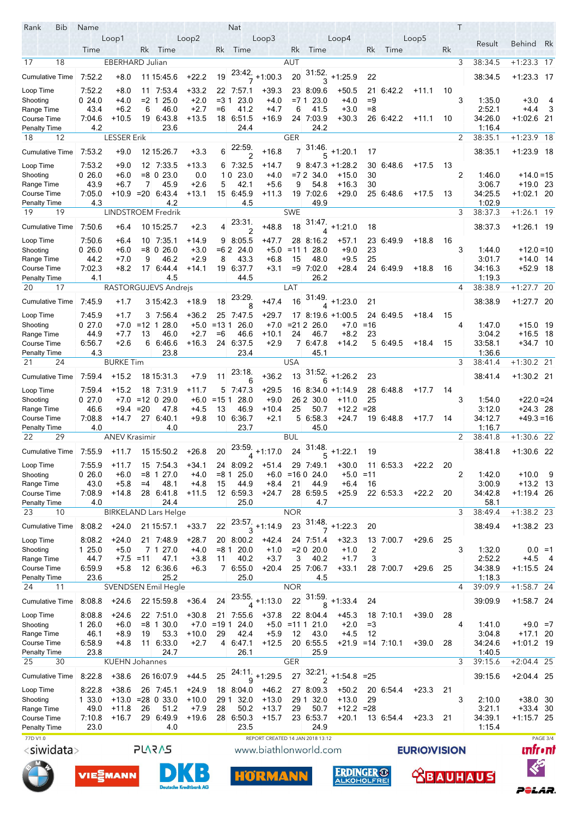| Rank<br>Bib               | Name           |                        |             |                                 |                               |               | Nat                               |                                  |                |                         |                            |          |                     |                    |    | Τ |                   |                          |           |
|---------------------------|----------------|------------------------|-------------|---------------------------------|-------------------------------|---------------|-----------------------------------|----------------------------------|----------------|-------------------------|----------------------------|----------|---------------------|--------------------|----|---|-------------------|--------------------------|-----------|
|                           |                | Loop1                  |             |                                 | Loop2                         |               |                                   | Loop3                            |                |                         | Loop4                      |          |                     | Loop5              |    |   | Result            | <b>Behind</b>            | Rk        |
|                           | Time           |                        | Rk          | Time                            |                               | Rk            | Time                              |                                  | Rk             | Time                    |                            | Rk       | Time                |                    | Rk |   |                   |                          |           |
| 18<br>17                  |                | <b>EBERHARD Julian</b> |             |                                 |                               |               |                                   |                                  | AUT            |                         |                            |          |                     |                    |    | 3 | 38:34.5           | $+1:23.3$ 17             |           |
| <b>Cumulative Time</b>    | 7:52.2         | $+8.0$                 |             | 11 15:45.6                      | $+22.2$                       | 19            | .23:42<br>7                       | $+1:00.3$                        | 20             | 31:52.<br>3             | $+1:25.9$                  | 22       |                     |                    |    |   | 38:34.5           | $+1:23.3$ 17             |           |
| Loop Time                 | 7.52.2         | $+8.0$                 |             | 11 7:53.4                       | $+33.2$                       |               | 22 7:57.1                         | $+39.3$                          |                | 23 8:09.6               | $+50.5$                    |          | 21 6:42.2           | $+11.1$            | 10 |   |                   |                          |           |
| Shooting                  | 024.0          | $+4.0$                 | $= 2 \; 1$  | 25.0                            | $+2.0$                        | $= 31$        | 23.0                              | $+4.0$                           | $=71$          | 23.0                    | $+4.0$                     | $=9$     |                     |                    |    | 3 | 1:35.0            | $+3.0$                   | - 4       |
| Range Time                | 43.4           | $+6.2$                 | 6           | 46.0                            | $+2.7$                        | $=6$          | 41.2                              | $+4.7$                           | 6              | 41.5                    | $+3.0$                     | $= 8$    |                     |                    |    |   | 2:52.1            | $+4.4$                   | - 3       |
| Course Time               | 7:04.6         | $+10.5$                |             | 19 6:43.8                       | $+13.5$                       |               | 18 6:51.5                         | $+16.9$                          |                | 24 7:03.9               | $+30.3$                    |          | 26 6:42.2           | $+11.1$            | 10 |   | 34:26.0           | $+1.02.6$ 21             |           |
| Penalty Time              | 4.2            |                        |             | 23.6                            |                               |               | 24.4                              |                                  |                | 24.2                    |                            |          |                     |                    |    |   | 1:16.4            |                          |           |
| 18<br>12                  |                | <b>LESSER Erik</b>     |             |                                 |                               |               |                                   |                                  | <b>GER</b>     |                         |                            |          |                     |                    |    | 2 | 38:35.1           | $+1:23.9$ 18             |           |
| Cumulative Time           | 7:53.2         | $+9.0$                 |             | 12 15:26 7                      | $+3.3$                        | 6             | 22:59.                            | $+16.8$                          | $\overline{7}$ | 31:46.                  | $+1:20.1$                  | 17       |                     |                    |    |   | 38:35.1           | $+1:23.9$ 18             |           |
|                           |                |                        |             |                                 |                               |               | $\overline{2}$                    |                                  |                | 5                       |                            |          |                     |                    |    |   |                   |                          |           |
| Loop Time                 | 7:53.2         | $+9.0$                 |             | 12 7:33.5                       | $+13.3$                       |               | 6 7:32.5                          | +14.7                            |                |                         | $9$ 8.47.3 +1.28.2         |          | 30 6:48.6           | $+17.5$            | 13 |   |                   |                          |           |
| Shooting<br>Range Time    | 026.0<br>43.9  | $+6.0$<br>$+6.7$       | 7           | $= 8$ 0 23.0<br>45.9            | 0.0<br>$+2.6$                 | 10<br>5       | 23.0<br>42.1                      | $+4.0$<br>$+5.6$                 | $=72$<br>9     | 34.0<br>54.8            | $+15.0$<br>$+16.3$         | 30<br>30 |                     |                    |    | 2 | 1.46.0<br>3.06.7  | $+14.0=15$<br>$+19.0$ 23 |           |
| Course Time               | 7:05.0         | +10.9                  | $=20$       | 6.43.4                          | +13.1                         |               | 15 6:45.9                         | $+11.3$                          |                | 19 7:02.6               | $+29.0$                    |          | 25 6:48.6           | $+17.5$            | 13 |   | 34:25.5           | +1:02.1 20               |           |
| Penalty Time              | 4.3            |                        |             | 4.2                             |                               |               | 4.5                               |                                  |                | 49.9                    |                            |          |                     |                    |    |   | 1:02.9            |                          |           |
| 19<br>19                  |                |                        |             | LINDSTROEM Fredrik              |                               |               |                                   |                                  | <b>SWE</b>     |                         |                            |          |                     |                    |    | 3 | 38:37.3           | $+1:26.1$ 19             |           |
| <b>Cumulative Time</b>    | 7.50.6         | $+6.4$                 |             | 10 15:25 7                      | $+2.3$                        | 4             | 23:31.                            | $+48.8$                          | 18             | 31:47.                  | $+1:21.0$                  | 18       |                     |                    |    |   | 38.37.3           | $+1:26.1$ 19             |           |
|                           |                |                        |             |                                 |                               |               | 2                                 |                                  |                | $\overline{\mathbf{A}}$ |                            |          |                     |                    |    |   |                   |                          |           |
| Loop Time                 | 7:50.6         | $+6.4$                 |             | 10 7:35.1                       | +14.9                         | 9             | 8.05.5                            | +47.7                            |                | 28 8:16.2               | $+57.1$                    |          | 23 6 49 9           | $+18.8$            | 16 |   |                   |                          |           |
| Shooting                  | 026.0          | $+6.0$                 |             | $= 8$ 0 26.0                    | $+3.0$                        | $=62$         | 24.0                              | $+5.0$                           | $= 111$        | 28.0                    | $+9.0$                     | 23       |                     |                    |    | 3 | 1.44.0            | $+12.0=10$               |           |
| Range Time<br>Course Time | 44.2           | $+7.0$                 | 9           | 46.2                            | $+2.9$                        | 8             | 43.3                              | $+6.8$                           | 15             | 48.0<br>$=9$ 7:02.0     | $+9.5$                     | 25       |                     |                    |    |   | 3:01.7            | +14.0 14                 |           |
| Penalty Time              | 7.02.3<br>4.1  | $+8.2$                 |             | 17 6:44.4<br>4.5                | +14.1                         | 19            | 6.37.7<br>44.5                    | $+3.1$                           |                | 26.2                    | $+28.4$                    |          | 24 6.49.9           | $+18.8$            | 16 |   | 34:16.3<br>1.19.3 | +52.9 18                 |           |
| 17<br>20                  |                |                        |             | RASTORGUJEVS Andrejs            |                               |               |                                   |                                  | LAT            |                         |                            |          |                     |                    |    | 4 | 38:38.9           | $+1:27.7$ 20             |           |
|                           |                |                        |             |                                 |                               |               | 23:29.                            |                                  |                | 31.49.                  |                            |          |                     |                    |    |   |                   |                          |           |
| <b>Cumulative Time</b>    | 7:45.9         | $+1.7$                 |             | 3 15:42.3                       | $+18.9$                       | 18            | 8                                 | $+47.4$                          | 16             |                         | $+1.23.0$                  | 21       |                     |                    |    |   | 38:38.9           | $+1.27.7$ 20             |           |
| Loop Time                 | 7:45.9         | $+1.7$                 |             | 3 7 5 6.4                       | $+36.2$                       |               | 25 7:47.5                         | $+29.7$                          |                |                         | 17 8:19.6 +1:00.5          |          | 24 6:49.5           | $+18.4$            | 15 |   |                   |                          |           |
| Shooting                  | 027.0          |                        |             | $+7.0 = 12 \ 1 \ 28.0$          | $+5.0$                        | $= 1311$      | 26.0                              | $+7.0$                           |                | $= 21226.0$             | $+7.0 = 16$                |          |                     |                    |    | 4 | 147.0             | +15.0 19                 |           |
| Range Time                | 44.9           | $+7.7$                 | 13          | 46.0                            | $+2.7$                        | $= 6$         | 46.6                              | $+10.1$                          | 24             | 46.7                    | $+8.2$                     | 23       |                     |                    |    |   | 3:04.2            | $+16.5$ 18               |           |
| Course Time               | 6:56.7         | $+2.6$                 | 6           | 6:46.6                          | $+16.3$                       | 24            | 6.37.5                            | $+2.9$                           |                | 7 6 4 7 8               | $+14.2$                    |          | 5 6:49.5            | $+18.4$            | 15 |   | 33:58.1           | $+34.7$ 10               |           |
| Penalty Time<br>24<br>21  | 4.3            | <b>BURKE Tim</b>       |             | 23.8                            |                               |               | 23.4                              |                                  | <b>USA</b>     | 45.1                    |                            |          |                     |                    |    | 3 | 1.36.6<br>38:41.4 | $+1:30.2$ 21             |           |
|                           |                |                        |             |                                 |                               |               | 23:18.                            |                                  |                |                         |                            |          |                     |                    |    |   |                   |                          |           |
| <b>Cumulative Time</b>    | 7:59.4         | $+15.2$                |             | 18 15:31.3                      | $+7.9$                        | 11            | 6                                 | $+36.2$                          | 13             |                         | $\frac{31:52.}{6}$ +1:26.2 | 23       |                     |                    |    |   | 38:41.4           | $+1:30.2$ 21             |           |
| Loop Time                 | 7:59.4         | $+15.2$                |             | 18 7:31.9                       | +11.7                         | 5             | 7.47.3                            | $+29.5$                          |                |                         | 16 8:34 0 +1:14 9          |          | 28 6.48.8           | $+17.7$            | 14 |   |                   |                          |           |
| Shooting                  | 027.0          | $+7.0$                 |             | $=12$ 0 29.0                    | $+6.0$                        | $= 151$       | 28.0                              | $+9.0$                           |                | 26 2 30.0               | $+11.0$                    | 25       |                     |                    |    | 3 | 1:54.0            | $+22.0 = 24$             |           |
| Range Time                | 46.6           | +9.4                   | $=20$       | 47.8                            | $+4.5$                        | 13            | 46.9                              | $+10.4$                          | 25             | 50.7                    | $+12.2$                    | $= 28$   |                     |                    |    |   | 3.12.0            | $+24.3$ 28               |           |
| Course Time               | 7.08.8         | +14.7                  |             | 27 6:40.1                       | $+9.8$                        |               | 10 6:36.7                         | $+2.1$                           |                | 5 6:58.3                | $+24.7$                    |          | 19 6.48.8           | $+17.7$            | 14 |   | 34:12.7           | $+49.3=16$               |           |
| Penalty Time              | 4.0            |                        |             | 4.0                             |                               |               | 23.7                              |                                  |                | 45.0                    |                            |          |                     |                    |    |   | 1:16.7            |                          |           |
| 22<br>29                  |                | <b>ANEV Krasimir</b>   |             |                                 |                               |               |                                   |                                  | <b>BUL</b>     |                         |                            |          |                     |                    |    | 2 | 38:41.8           | $+1:30.6$ 22             |           |
| Cumulative Time           | 7:55.9         | $+11.7$                |             | 15 15:50.2                      | $+26.8$                       | 20            | 23:59.                            | $+1:17.0$                        | 24             | 31:48.                  | $+1:22.1$                  | 19       |                     |                    |    |   | 38:41.8           | $+1.306$ 22              |           |
| Loop Time                 | 7.55.9         | +11.7                  | 15          | 7.54.3                          | +34.1                         |               | 24 8:09.2                         | $+51.4$                          |                | 29 7:49.1               | $+30.0$                    |          | 11 6:53.3           | +22.2              | 20 |   |                   |                          |           |
| Shooting                  | 026.0          | $+6.0$                 |             | $= 8$ 1 27.0                    | $+4.0$                        | =8 1          | 25.0                              | $+6.0$                           |                | $=16024.0$              | +5.0                       | $=11$    |                     |                    |    | 2 | 1:42.0            | +10.0                    | -9        |
| Range Time                | 43.0           | $+5.8$                 | $=4$        | 48.1                            | $+4.8$                        | 15            | 44.9                              | $+8.4$                           | 21             | 44.9                    | $+6.4$                     | 16       |                     |                    |    |   | 3:00.9            | $+13.2$ 13               |           |
| Course Time               | 7.08.9         | +14.8                  |             | 28 6:41.8                       | $+11.5$                       |               | 12 6:59.3                         | $+24.7$                          |                | 28 6:59.5               | $+25.9$                    |          | 22 6:53.3           | $+22.2$            | 20 |   | 34:42.8           | +1:19.4 26               |           |
| <b>Penalty Time</b>       | 4.0            |                        |             | 24.4                            |                               |               | 25.0                              |                                  |                | 4.7                     |                            |          |                     |                    |    |   | 58.1              |                          |           |
| 23<br>10                  |                |                        |             | <b>BIRKELAND Lars Helge</b>     |                               |               |                                   |                                  | <b>NOR</b>     |                         |                            |          |                     |                    |    | 3 | 38:49.4           | $+1:38.2$ 23             |           |
| Cumulative Time           | 8:08.2         | $+24.0$                |             | 21 15:57.1                      | $+33.7$                       | 22            |                                   | $\frac{23.57}{3}$ +1:14.9        | 23             | $\frac{31.48}{7}$       | $+1.22.3$                  | 20       |                     |                    |    |   | 38:49.4           | $+1:38.2$ 23             |           |
| Loop Time                 | 8:08.2         | +24.0                  |             | 21 7:48.9                       | $+28.7$                       |               | 20 8:00.2                         | +42.4                            |                | 24 7 51 4               | $+32.3$                    |          | 13 7:00.7           | +29.6              | 25 |   |                   |                          |           |
| Shooting                  | 1 25.0         | $+5.0$                 |             | 7 1 27.0                        | $+4.0$                        | =8.1          | 20.0                              | $+1.0$                           |                | $= 20.0$                | $+1.0$                     | 2        |                     |                    |    | 3 | 1:32.0            |                          | $0.0 = 1$ |
| Range Time                | 44.7           |                        | $+7.5 = 11$ | 47.1                            | $+3.8$                        | 11            | 40.2                              | $+3.7$                           | 3              | 40.2                    | $+1.7$                     | 3        |                     |                    |    |   | 2:52.2            | $+4.5$ 4                 |           |
| Course Time               | 6.59.9         | $+5.8$                 |             | 12 6:36.6                       | $+6.3$                        |               | 7 6:55.0                          | $+20.4$                          |                | 25 7:06.7               | $+33.1$                    |          | 28 7:00.7           | $+29.6$            | 25 |   | 34:38.9           | $+1.155$ 24              |           |
| Penalty Time              | 23.6           |                        |             | 25.2                            |                               |               | 25.0                              |                                  |                | 4.5                     |                            |          |                     |                    |    |   | 1:18.3            |                          |           |
| 24<br>11                  |                |                        |             | SVENDSEN Emil Hegle             |                               |               |                                   |                                  | <b>NOR</b>     |                         |                            |          |                     |                    |    | 4 | 39:09.9           | $+1:58.7$ 24             |           |
| <b>Cumulative Time</b>    | 8:08.8         | $+24.6$                |             | 22 15:59.8                      | $+36.4$                       | 24            | 23:55.<br>$\overline{\mathbf{4}}$ | $+1:13.0$                        | 22             | 31:59.<br>8             | $+1.33.4$                  | 24       |                     |                    |    |   | 39:09.9           | $+1.58.7$ 24             |           |
| Loop Time                 | 8:08.8         | $+24.6$                |             | 22 7:51.0                       | $+30.8$                       |               | 21 7:55.6                         | $+37.8$                          |                | 22 8:04.4               | $+45.3$                    |          | 18 7:10.1           | $+39.0$            | 28 |   |                   |                          |           |
| Shooting                  | 1 26.0         | $+6.0$                 |             | $= 8$ 1 30.0                    |                               | $+7.0 = 19.1$ | 24.0                              | $+5.0$                           |                | $= 11 \mid 1 \mid 21.0$ | $+2.0$                     | $=3$     |                     |                    |    | 4 | 1:41.0            | $+9.0 = 7$               |           |
| Range Time                | 46.1           | $+8.9$                 | 19          | 53.3                            | +10.0                         | 29            | 42.4                              | $+5.9$                           | 12             | 43.0                    | $+4.5$                     | 12       |                     |                    |    |   | 3:04.8            | $+17.1$ 20               |           |
| Course Time               | 6.58.9         | $+4.8$                 |             | 11 6:33.0                       | $+2.7$                        | 4             | 6.47.1                            | $+12.5$                          |                | 20 6:55.5               |                            |          | $+21.9$ = 14 7.10.1 | $+39.0$            | 28 |   | 34.24.6           | $+1:01.2$ 19             |           |
| Penalty Time              | 23.8           |                        |             | 24.7                            |                               |               | 26.1                              |                                  |                | 25.9                    |                            |          |                     |                    |    |   | 1.40.5            |                          |           |
| 25<br>30                  |                | <b>KUEHN Johannes</b>  |             |                                 |                               |               |                                   |                                  | <b>GER</b>     |                         |                            |          |                     |                    |    | 3 | 39:15.6           | $+2:04.4$ 25             |           |
| <b>Cumulative Time</b>    | 8:22.8         | $+38.6$                |             | 26 16:07.9                      | $+44.5$                       | 25            | 24:11.                            | $9 + 1.29.5$                     | 27             | 32:21.                  | $+1.54.8 = 25$             |          |                     |                    |    |   | 39.15.6           | $+2:04.4$ 25             |           |
|                           |                |                        |             |                                 |                               |               |                                   |                                  |                | $\overline{2}$          |                            |          |                     |                    |    |   |                   |                          |           |
| Loop Time                 | 8.22.8         | $+38.6$                |             | 26 7:45.1                       | $+24.9$                       |               | 18 8:04.0                         | $+46.2$                          |                | 27 8:09.3               | $+50.2$                    |          | 20 6:54.4           | $+23.3$            | 21 |   |                   |                          |           |
| Shooting<br>Range Time    | 1 33.0<br>49.0 | $+11.8$                | 26          | $+13.0 = 28 \ 0 \ 33.0$<br>51.2 | $+10.0$<br>$+7.9$             | 29 1<br>28    | 32.0<br>50.2                      | $+13.0$<br>$+13.7$               | 29             | 29 1 32.0<br>50.7       | $+13.0$<br>$+12.2 = 28$    | 29       |                     |                    |    | 3 | 2:10.0<br>3:21.1  | +38.0 30<br>$+33.4$ 30   |           |
| Course Time               | 7:10.8         | $+16.7$                | 29          | 6:49.9                          | $+19.6$                       |               | 28 6:50.3                         | $+15.7$                          |                | 23 6:53.7               | $+20.1$                    |          | 13 6:54.4           | $+23.3$            | 21 |   | 34:39.1           | +1:15.7 25               |           |
| <b>Penalty Time</b>       | 23.0           |                        |             | 4.0                             |                               |               | 23.5                              |                                  |                | 24.9                    |                            |          |                     |                    |    |   | 1:15.4            |                          |           |
| 77D V1.0                  |                |                        |             |                                 |                               |               |                                   | REPORT CREATED 14 JAN 2018 13:12 |                |                         |                            |          |                     |                    |    |   |                   |                          | PAGE 3/4  |
| <siwidata></siwidata>     |                |                        |             | <b>PLARAS</b>                   |                               |               |                                   | www.biathlonworld.com            |                |                         |                            |          |                     | <b>EURIOVISION</b> |    |   |                   |                          | ınfr•nt   |
|                           |                |                        |             |                                 |                               |               |                                   |                                  |                |                         |                            |          |                     |                    |    |   |                   |                          |           |
|                           |                | VIESMANN               |             |                                 |                               |               |                                   | <b>HORMANN</b>                   |                |                         | <b>ERDINGER ®</b>          |          |                     |                    |    |   | <b>BAUHAUS</b>    | $\ll$                    |           |
|                           |                |                        |             |                                 |                               |               |                                   |                                  |                |                         | <b>ALKOHOLFREI</b>         |          |                     |                    |    |   |                   |                          |           |
|                           |                |                        |             |                                 | <b>Deutsche Kreditbank AG</b> |               |                                   |                                  |                |                         |                            |          |                     |                    |    |   |                   |                          |           |